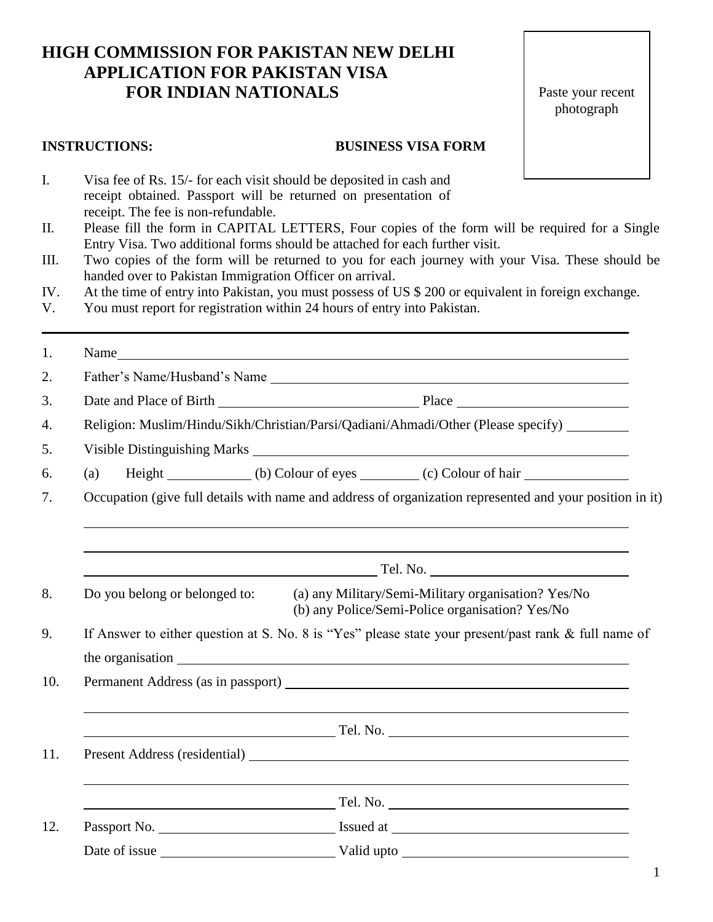# **HIGH COMMISSION FOR PAKISTAN NEW DELHI APPLICATION FOR PAKISTAN VISA FOR INDIAN NATIONALS**

Paste your recent photograph

#### **INSTRUCTIONS: BUSINESS VISA FORM**

- I. Visa fee of Rs. 15/- for each visit should be deposited in cash and receipt obtained. Passport will be returned on presentation of receipt. The fee is non-refundable.
- II. Please fill the form in CAPITAL LETTERS, Four copies of the form will be required for a Single Entry Visa. Two additional forms should be attached for each further visit.
- III. Two copies of the form will be returned to you for each journey with your Visa. These should be handed over to Pakistan Immigration Officer on arrival.
- IV. At the time of entry into Pakistan, you must possess of US \$ 200 or equivalent in foreign exchange.
- V. You must report for registration within 24 hours of entry into Pakistan.

|                                                                                                            |                                                                                                                                         | Name                                                                                                                                                                                                                           |  |  |  |  |
|------------------------------------------------------------------------------------------------------------|-----------------------------------------------------------------------------------------------------------------------------------------|--------------------------------------------------------------------------------------------------------------------------------------------------------------------------------------------------------------------------------|--|--|--|--|
|                                                                                                            |                                                                                                                                         | Father's Name/Husband's Name                                                                                                                                                                                                   |  |  |  |  |
|                                                                                                            |                                                                                                                                         |                                                                                                                                                                                                                                |  |  |  |  |
|                                                                                                            | Religion: Muslim/Hindu/Sikh/Christian/Parsi/Qadiani/Ahmadi/Other (Please specify) _______                                               |                                                                                                                                                                                                                                |  |  |  |  |
|                                                                                                            |                                                                                                                                         |                                                                                                                                                                                                                                |  |  |  |  |
|                                                                                                            | (a)                                                                                                                                     |                                                                                                                                                                                                                                |  |  |  |  |
|                                                                                                            | Occupation (give full details with name and address of organization represented and your position in it)                                |                                                                                                                                                                                                                                |  |  |  |  |
|                                                                                                            |                                                                                                                                         |                                                                                                                                                                                                                                |  |  |  |  |
|                                                                                                            | Tel. No.                                                                                                                                |                                                                                                                                                                                                                                |  |  |  |  |
|                                                                                                            | (a) any Military/Semi-Military organisation? Yes/No<br>Do you belong or belonged to:<br>(b) any Police/Semi-Police organisation? Yes/No |                                                                                                                                                                                                                                |  |  |  |  |
| If Answer to either question at S. No. 8 is "Yes" please state your present/past rank & full name of<br>9. |                                                                                                                                         |                                                                                                                                                                                                                                |  |  |  |  |
|                                                                                                            |                                                                                                                                         | the organisation expansion and the organisation expansion of the state of the state of the state of the state of the state of the state of the state of the state of the state of the state of the state of the state of the s |  |  |  |  |
|                                                                                                            |                                                                                                                                         |                                                                                                                                                                                                                                |  |  |  |  |
|                                                                                                            |                                                                                                                                         |                                                                                                                                                                                                                                |  |  |  |  |
|                                                                                                            |                                                                                                                                         | $\sim$ Tel. No. $\sim$ Tel. No. $\sim$                                                                                                                                                                                         |  |  |  |  |
|                                                                                                            |                                                                                                                                         |                                                                                                                                                                                                                                |  |  |  |  |
|                                                                                                            |                                                                                                                                         |                                                                                                                                                                                                                                |  |  |  |  |
|                                                                                                            |                                                                                                                                         |                                                                                                                                                                                                                                |  |  |  |  |
|                                                                                                            |                                                                                                                                         |                                                                                                                                                                                                                                |  |  |  |  |
|                                                                                                            |                                                                                                                                         |                                                                                                                                                                                                                                |  |  |  |  |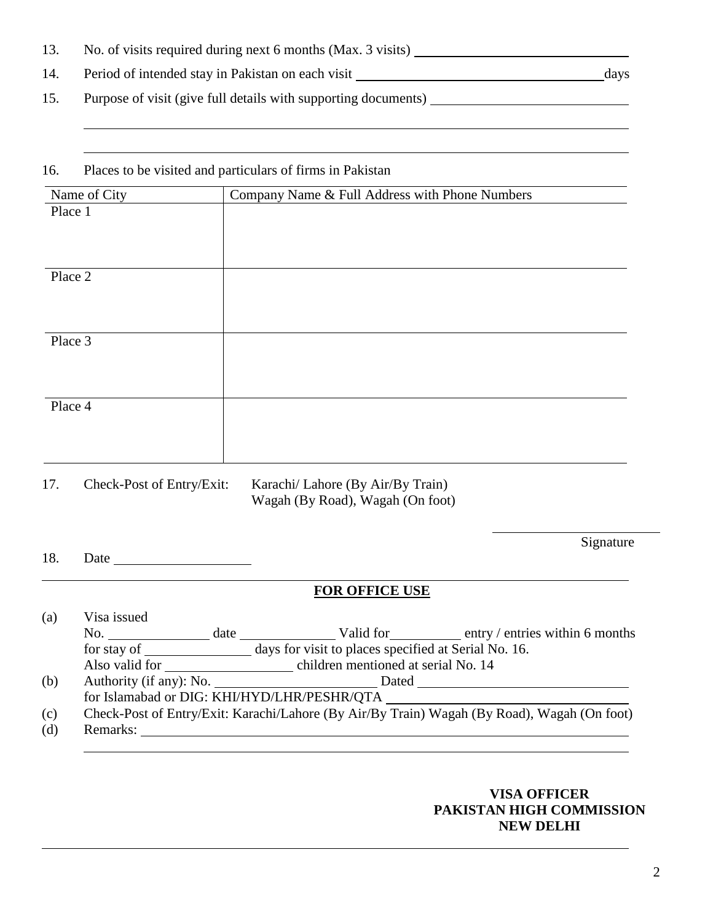13. No. of visits required during next 6 months (Max. 3 visits) 14. Period of intended stay in Pakistan on each visit days 15. Purpose of visit (give full details with supporting documents)

### 16. Places to be visited and particulars of firms in Pakistan

| Name of City              | Company Name & Full Address with Phone Numbers                        |  |  |
|---------------------------|-----------------------------------------------------------------------|--|--|
| Place 1                   |                                                                       |  |  |
|                           |                                                                       |  |  |
|                           |                                                                       |  |  |
| Place 2                   |                                                                       |  |  |
|                           |                                                                       |  |  |
|                           |                                                                       |  |  |
| Place 3                   |                                                                       |  |  |
|                           |                                                                       |  |  |
|                           |                                                                       |  |  |
| Place 4                   |                                                                       |  |  |
|                           |                                                                       |  |  |
|                           |                                                                       |  |  |
| 17.                       |                                                                       |  |  |
| Check-Post of Entry/Exit: | Karachi/ Lahore (By Air/By Train)<br>Wagah (By Road), Wagah (On foot) |  |  |

18. Date

## **FOR OFFICE USE**

| (a) | Visa issued                                                                                 |                                                    |  |                                              |  |  |
|-----|---------------------------------------------------------------------------------------------|----------------------------------------------------|--|----------------------------------------------|--|--|
|     | $\mathbf{No}$ .                                                                             |                                                    |  | date Valid for entry entries within 6 months |  |  |
|     | days for visit to places specified at Serial No. 16.<br>for stay of                         |                                                    |  |                                              |  |  |
|     |                                                                                             | Also valid for children mentioned at serial No. 14 |  |                                              |  |  |
| (b) |                                                                                             |                                                    |  |                                              |  |  |
|     | for Islamabad or DIG: KHI/HYD/LHR/PESHR/QTA                                                 |                                                    |  |                                              |  |  |
| (c) | Check-Post of Entry/Exit: Karachi/Lahore (By Air/By Train) Wagah (By Road), Wagah (On foot) |                                                    |  |                                              |  |  |
| (d) | Remarks:                                                                                    |                                                    |  |                                              |  |  |

### **VISA OFFICER PAKISTAN HIGH COMMISSION NEW DELHI**

Signature